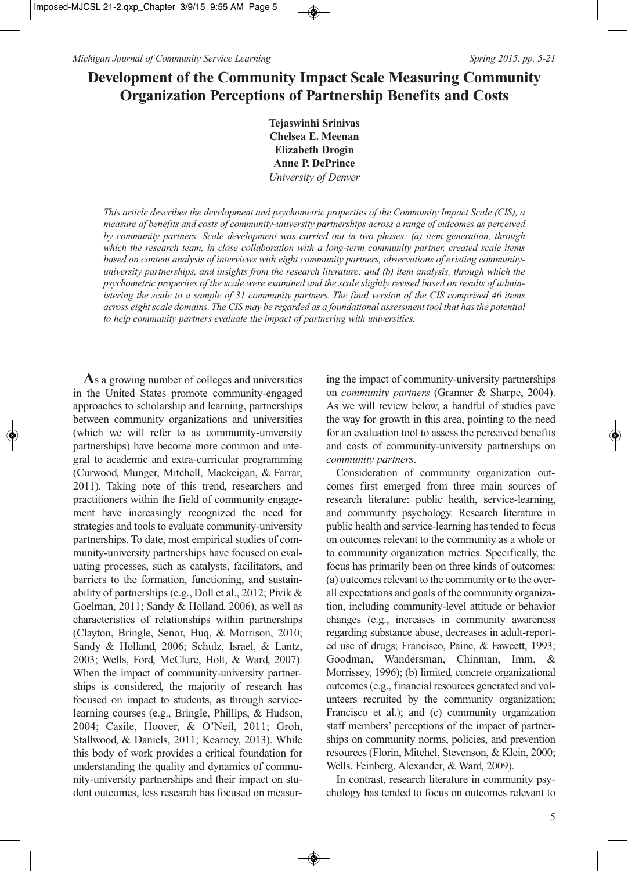# **Development of the Community Impact Scale Measuring Community Organization Perceptions of Partnership Benefits and Costs**

**Tejaswinhi Srinivas Chelsea E. Meenan Elizabeth Drogin Anne P. DePrince** *University of Denver*

*This article describes the development and psychometric properties of the Community Impact Scale (CIS), a measure of benefits and costs of community-university partnerships across a range of outcomes as perceived by community partners. Scale development was carried out in two phases: (a) item generation, through which the research team, in close collaboration with a long-term community partner, created scale items based on content analysis of interviews with eight community partners, observations of existing communityuniversity partnerships, and insights from the research literature; and (b) item analysis, through which the psychometric properties of the scale were examined and the scale slightly revised based on results of administering the scale to a sample of 31 community partners. The final version of the CIS comprised 46 items across eight scale domains. The CIS may be regarded as a foundational assessment tool that has the potential to help community partners evaluate the impact of partnering with universities.* 

**A**s a growing number of colleges and universities in the United States promote community-engaged approaches to scholarship and learning, partnerships between community organizations and universities (which we will refer to as community-university partnerships) have become more common and integral to academic and extra-curricular programming (Curwood, Munger, Mitchell, Mackeigan, & Farrar, 2011). Taking note of this trend, researchers and practitioners within the field of community engagement have increasingly recognized the need for strategies and tools to evaluate community-university partnerships. To date, most empirical studies of community-university partnerships have focused on evaluating processes, such as catalysts, facilitators, and barriers to the formation, functioning, and sustainability of partnerships (e.g., Doll et al., 2012; Pivik & Goelman, 2011; Sandy & Holland, 2006), as well as characteristics of relationships within partnerships (Clayton, Bringle, Senor, Huq, & Morrison, 2010; Sandy & Holland, 2006; Schulz, Israel, & Lantz, 2003; Wells, Ford, McClure, Holt, & Ward, 2007). When the impact of community-university partnerships is considered, the majority of research has focused on impact to students, as through servicelearning courses (e.g., Bringle, Phillips, & Hudson, 2004; Casile, Hoover, & O'Neil, 2011; Groh, Stallwood, & Daniels, 2011; Kearney, 2013). While this body of work provides a critical foundation for understanding the quality and dynamics of community-university partnerships and their impact on student outcomes, less research has focused on measur-

ing the impact of community-university partnerships on *community partners* (Granner & Sharpe, 2004). As we will review below, a handful of studies pave the way for growth in this area, pointing to the need for an evaluation tool to assess the perceived benefits and costs of community-university partnerships on *community partners*.

Consideration of community organization outcomes first emerged from three main sources of research literature: public health, service-learning, and community psychology. Research literature in public health and service-learning has tended to focus on outcomes relevant to the community as a whole or to community organization metrics. Specifically, the focus has primarily been on three kinds of outcomes: (a) outcomes relevant to the community or to the overall expectations and goals of the community organization, including community-level attitude or behavior changes (e.g., increases in community awareness regarding substance abuse, decreases in adult-reported use of drugs; Francisco, Paine, & Fawcett, 1993; Goodman, Wandersman, Chinman, Imm, & Morrissey, 1996); (b) limited, concrete organizational outcomes (e.g., financial resources generated and volunteers recruited by the community organization; Francisco et al.); and (c) community organization staff members' perceptions of the impact of partnerships on community norms, policies, and prevention resources (Florin, Mitchel, Stevenson, & Klein, 2000; Wells, Feinberg, Alexander, & Ward, 2009).

In contrast, research literature in community psychology has tended to focus on outcomes relevant to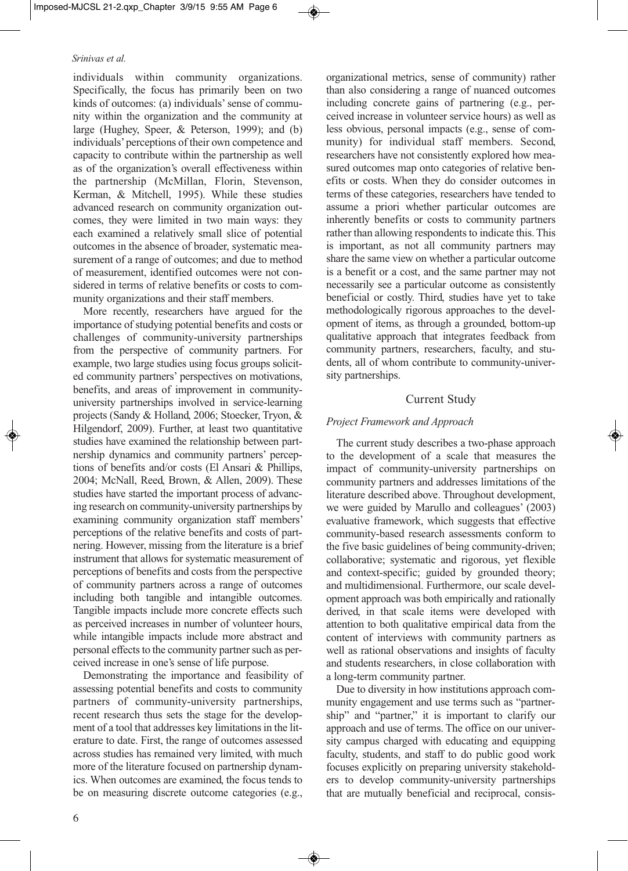individuals within community organizations. Specifically, the focus has primarily been on two kinds of outcomes: (a) individuals' sense of community within the organization and the community at large (Hughey, Speer, & Peterson, 1999); and (b) individuals' perceptions of their own competence and capacity to contribute within the partnership as well as of the organization's overall effectiveness within the partnership (McMillan, Florin, Stevenson, Kerman, & Mitchell, 1995). While these studies advanced research on community organization outcomes, they were limited in two main ways: they each examined a relatively small slice of potential outcomes in the absence of broader, systematic measurement of a range of outcomes; and due to method of measurement, identified outcomes were not considered in terms of relative benefits or costs to community organizations and their staff members.

More recently, researchers have argued for the importance of studying potential benefits and costs or challenges of community-university partnerships from the perspective of community partners. For example, two large studies using focus groups solicited community partners' perspectives on motivations, benefits, and areas of improvement in communityuniversity partnerships involved in service-learning projects (Sandy & Holland, 2006; Stoecker, Tryon, & Hilgendorf, 2009). Further, at least two quantitative studies have examined the relationship between partnership dynamics and community partners' perceptions of benefits and/or costs (El Ansari & Phillips, 2004; McNall, Reed, Brown, & Allen, 2009). These studies have started the important process of advancing research on community-university partnerships by examining community organization staff members' perceptions of the relative benefits and costs of partnering. However, missing from the literature is a brief instrument that allows for systematic measurement of perceptions of benefits and costs from the perspective of community partners across a range of outcomes including both tangible and intangible outcomes. Tangible impacts include more concrete effects such as perceived increases in number of volunteer hours, while intangible impacts include more abstract and personal effects to the community partner such as perceived increase in one's sense of life purpose.

Demonstrating the importance and feasibility of assessing potential benefits and costs to community partners of community-university partnerships, recent research thus sets the stage for the development of a tool that addresses key limitations in the literature to date. First, the range of outcomes assessed across studies has remained very limited, with much more of the literature focused on partnership dynamics. When outcomes are examined, the focus tends to be on measuring discrete outcome categories (e.g.,

organizational metrics, sense of community) rather than also considering a range of nuanced outcomes including concrete gains of partnering (e.g., perceived increase in volunteer service hours) as well as less obvious, personal impacts (e.g., sense of community) for individual staff members. Second, researchers have not consistently explored how measured outcomes map onto categories of relative benefits or costs. When they do consider outcomes in terms of these categories, researchers have tended to assume a priori whether particular outcomes are inherently benefits or costs to community partners rather than allowing respondents to indicate this. This is important, as not all community partners may share the same view on whether a particular outcome is a benefit or a cost, and the same partner may not necessarily see a particular outcome as consistently beneficial or costly. Third, studies have yet to take methodologically rigorous approaches to the development of items, as through a grounded, bottom-up qualitative approach that integrates feedback from community partners, researchers, faculty, and students, all of whom contribute to community-university partnerships.

### Current Study

### *Project Framework and Approach*

The current study describes a two-phase approach to the development of a scale that measures the impact of community-university partnerships on community partners and addresses limitations of the literature described above. Throughout development, we were guided by Marullo and colleagues' (2003) evaluative framework, which suggests that effective community-based research assessments conform to the five basic guidelines of being community-driven; collaborative; systematic and rigorous, yet flexible and context-specific; guided by grounded theory; and multidimensional. Furthermore, our scale development approach was both empirically and rationally derived, in that scale items were developed with attention to both qualitative empirical data from the content of interviews with community partners as well as rational observations and insights of faculty and students researchers, in close collaboration with a long-term community partner.

Due to diversity in how institutions approach community engagement and use terms such as "partnership" and "partner," it is important to clarify our approach and use of terms. The office on our university campus charged with educating and equipping faculty, students, and staff to do public good work focuses explicitly on preparing university stakeholders to develop community-university partnerships that are mutually beneficial and reciprocal, consis-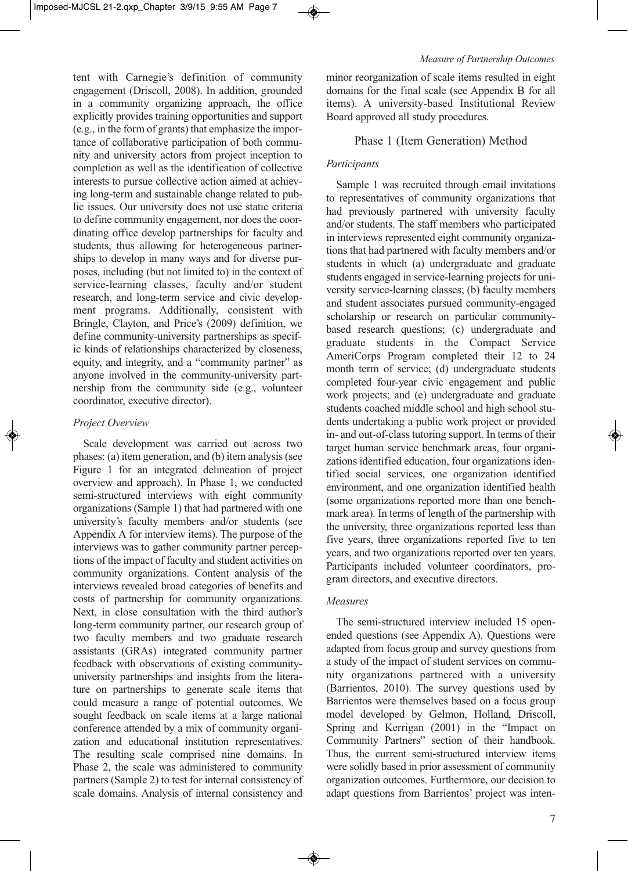tent with Carnegie's definition of community engagement (Driscoll, 2008). In addition, grounded in a community organizing approach, the office explicitly provides training opportunities and support (e.g., in the form of grants) that emphasize the importance of collaborative participation of both community and university actors from project inception to completion as well as the identification of collective interests to pursue collective action aimed at achieving long-term and sustainable change related to public issues. Our university does not use static criteria to define community engagement, nor does the coordinating office develop partnerships for faculty and students, thus allowing for heterogeneous partnerships to develop in many ways and for diverse purposes, including (but not limited to) in the context of service-learning classes, faculty and/or student research, and long-term service and civic development programs. Additionally, consistent with Bringle, Clayton, and Price's (2009) definition, we define community-university partnerships as specific kinds of relationships characterized by closeness, equity, and integrity, and a "community partner" as anyone involved in the community-university partnership from the community side (e.g., volunteer coordinator, executive director).

### *Project Overview*

Scale development was carried out across two phases: (a) item generation, and (b) item analysis (see Figure 1 for an integrated delineation of project overview and approach). In Phase 1, we conducted semi-structured interviews with eight community organizations (Sample 1) that had partnered with one university's faculty members and/or students (see Appendix A for interview items). The purpose of the interviews was to gather community partner perceptions of the impact of faculty and student activities on community organizations. Content analysis of the interviews revealed broad categories of benefits and costs of partnership for community organizations. Next, in close consultation with the third author's long-term community partner, our research group of two faculty members and two graduate research assistants (GRAs) integrated community partner feedback with observations of existing communityuniversity partnerships and insights from the literature on partnerships to generate scale items that could measure a range of potential outcomes. We sought feedback on scale items at a large national conference attended by a mix of community organization and educational institution representatives. The resulting scale comprised nine domains. In Phase 2, the scale was administered to community partners (Sample 2) to test for internal consistency of scale domains. Analysis of internal consistency and minor reorganization of scale items resulted in eight domains for the final scale (see Appendix B for all items). A university-based Institutional Review Board approved all study procedures.

# Phase 1 (Item Generation) Method

# *Participants*

Sample 1 was recruited through email invitations to representatives of community organizations that had previously partnered with university faculty and/or students. The staff members who participated in interviews represented eight community organizations that had partnered with faculty members and/or students in which (a) undergraduate and graduate students engaged in service-learning projects for university service-learning classes; (b) faculty members and student associates pursued community-engaged scholarship or research on particular communitybased research questions; (c) undergraduate and graduate students in the Compact Service AmeriCorps Program completed their 12 to 24 month term of service; (d) undergraduate students completed four-year civic engagement and public work projects; and (e) undergraduate and graduate students coached middle school and high school students undertaking a public work project or provided in- and out-of-class tutoring support. In terms of their target human service benchmark areas, four organizations identified education, four organizations identified social services, one organization identified environment, and one organization identified health (some organizations reported more than one benchmark area). In terms of length of the partnership with the university, three organizations reported less than five years, three organizations reported five to ten years, and two organizations reported over ten years. Participants included volunteer coordinators, program directors, and executive directors.

# *Measures*

The semi-structured interview included 15 openended questions (see Appendix A). Questions were adapted from focus group and survey questions from a study of the impact of student services on community organizations partnered with a university (Barrientos, 2010). The survey questions used by Barrientos were themselves based on a focus group model developed by Gelmon, Holland, Driscoll, Spring and Kerrigan (2001) in the "Impact on Community Partners" section of their handbook. Thus, the current semi-structured interview items were solidly based in prior assessment of community organization outcomes. Furthermore, our decision to adapt questions from Barrientos' project was inten-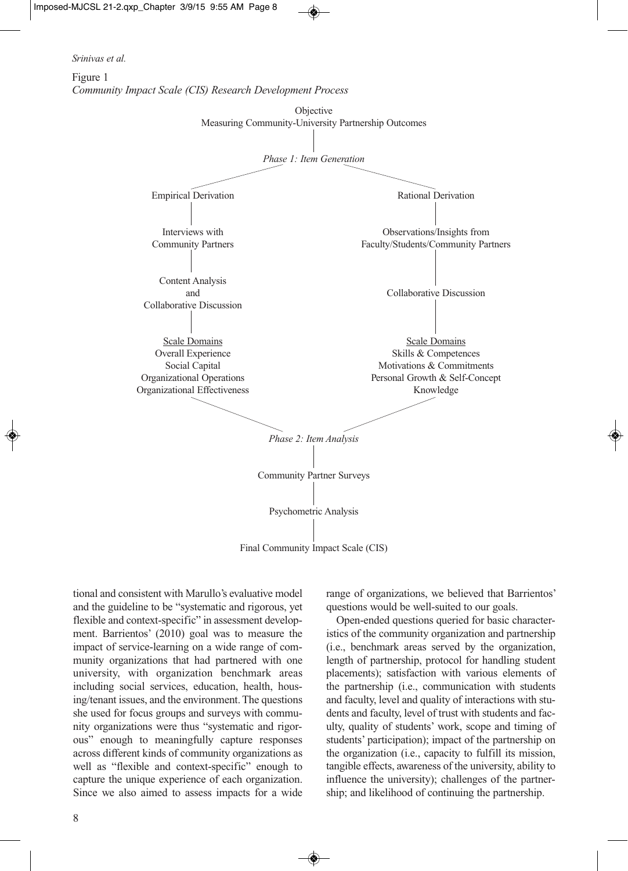



tional and consistent with Marullo's evaluative model and the guideline to be "systematic and rigorous, yet flexible and context-specific" in assessment development. Barrientos' (2010) goal was to measure the impact of service-learning on a wide range of community organizations that had partnered with one university, with organization benchmark areas including social services, education, health, housing/tenant issues, and the environment. The questions she used for focus groups and surveys with community organizations were thus "systematic and rigorous" enough to meaningfully capture responses across different kinds of community organizations as well as "flexible and context-specific" enough to capture the unique experience of each organization. Since we also aimed to assess impacts for a wide range of organizations, we believed that Barrientos' questions would be well-suited to our goals.

Open-ended questions queried for basic characteristics of the community organization and partnership (i.e., benchmark areas served by the organization, length of partnership, protocol for handling student placements); satisfaction with various elements of the partnership (i.e., communication with students and faculty, level and quality of interactions with students and faculty, level of trust with students and faculty, quality of students' work, scope and timing of students' participation); impact of the partnership on the organization (i.e., capacity to fulfill its mission, tangible effects, awareness of the university, ability to influence the university); challenges of the partnership; and likelihood of continuing the partnership.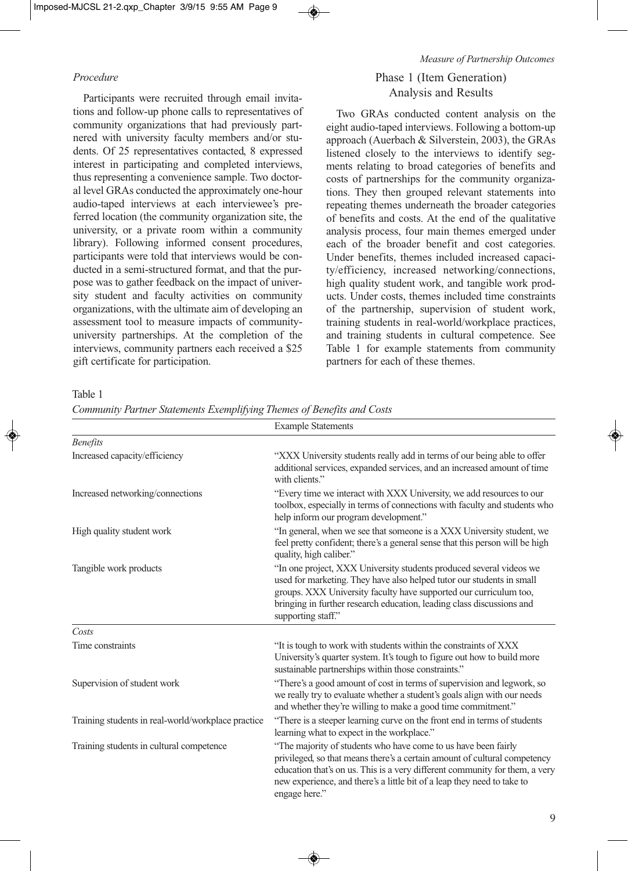#### *Measure of Partnership Outcomes*

### *Procedure*

Participants were recruited through email invitations and follow-up phone calls to representatives of community organizations that had previously partnered with university faculty members and/or students. Of 25 representatives contacted, 8 expressed interest in participating and completed interviews, thus representing a convenience sample. Two doctoral level GRAs conducted the approximately one-hour audio-taped interviews at each interviewee's preferred location (the community organization site, the university, or a private room within a community library). Following informed consent procedures, participants were told that interviews would be conducted in a semi-structured format, and that the purpose was to gather feedback on the impact of university student and faculty activities on community organizations, with the ultimate aim of developing an assessment tool to measure impacts of communityuniversity partnerships. At the completion of the interviews, community partners each received a \$25 gift certificate for participation.

# Phase 1 (Item Generation) Analysis and Results

Two GRAs conducted content analysis on the eight audio-taped interviews. Following a bottom-up approach (Auerbach & Silverstein, 2003), the GRAs listened closely to the interviews to identify segments relating to broad categories of benefits and costs of partnerships for the community organizations. They then grouped relevant statements into repeating themes underneath the broader categories of benefits and costs. At the end of the qualitative analysis process, four main themes emerged under each of the broader benefit and cost categories. Under benefits, themes included increased capacity/efficiency, increased networking/connections, high quality student work, and tangible work products. Under costs, themes included time constraints of the partnership, supervision of student work, training students in real-world/workplace practices, and training students in cultural competence. See Table 1 for example statements from community partners for each of these themes.

#### Table 1

| Community Partner Statements Exemplifying Themes of Benefits and Costs |  |  |  |  |  |
|------------------------------------------------------------------------|--|--|--|--|--|
|                                                                        |  |  |  |  |  |

|                                                    | <b>Example Statements</b>                                                                                                                                                                                                                                                                                              |
|----------------------------------------------------|------------------------------------------------------------------------------------------------------------------------------------------------------------------------------------------------------------------------------------------------------------------------------------------------------------------------|
| <b>Benefits</b>                                    |                                                                                                                                                                                                                                                                                                                        |
| Increased capacity/efficiency                      | "XXX University students really add in terms of our being able to offer<br>additional services, expanded services, and an increased amount of time<br>with clients."                                                                                                                                                   |
| Increased networking/connections                   | "Every time we interact with XXX University, we add resources to our<br>toolbox, especially in terms of connections with faculty and students who<br>help inform our program development."                                                                                                                             |
| High quality student work                          | "In general, when we see that someone is a XXX University student, we<br>feel pretty confident; there's a general sense that this person will be high<br>quality, high caliber."                                                                                                                                       |
| Tangible work products                             | "In one project, XXX University students produced several videos we<br>used for marketing. They have also helped tutor our students in small<br>groups. XXX University faculty have supported our curriculum too,<br>bringing in further research education, leading class discussions and<br>supporting staff."       |
| Costs                                              |                                                                                                                                                                                                                                                                                                                        |
| Time constraints                                   | "It is tough to work with students within the constraints of XXX<br>University's quarter system. It's tough to figure out how to build more<br>sustainable partnerships within those constraints."                                                                                                                     |
| Supervision of student work                        | "There's a good amount of cost in terms of supervision and legwork, so<br>we really try to evaluate whether a student's goals align with our needs<br>and whether they're willing to make a good time commitment."                                                                                                     |
| Training students in real-world/workplace practice | "There is a steeper learning curve on the front end in terms of students<br>learning what to expect in the workplace."                                                                                                                                                                                                 |
| Training students in cultural competence           | "The majority of students who have come to us have been fairly<br>privileged, so that means there's a certain amount of cultural competency<br>education that's on us. This is a very different community for them, a very<br>new experience, and there's a little bit of a leap they need to take to<br>engage here." |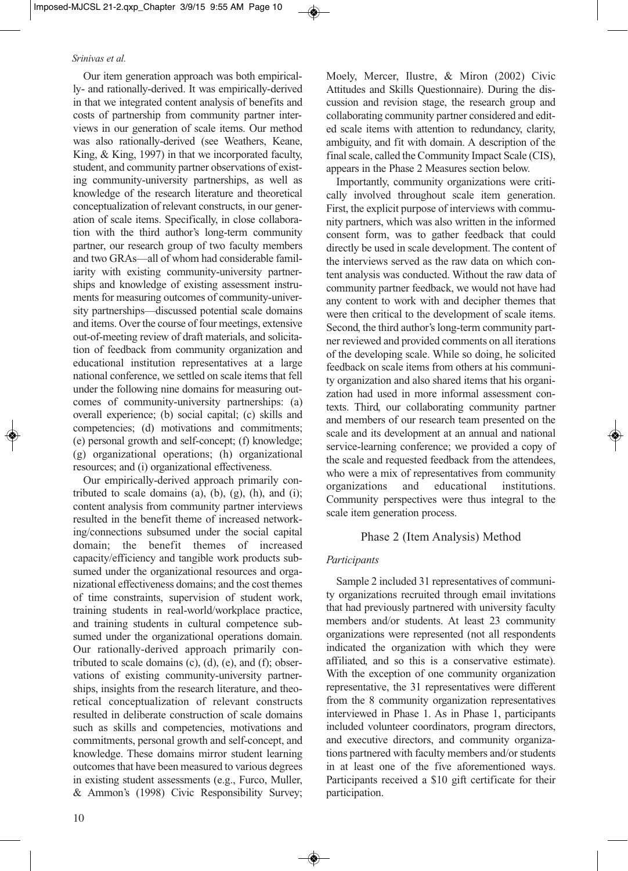Our item generation approach was both empirically- and rationally-derived. It was empirically-derived in that we integrated content analysis of benefits and costs of partnership from community partner interviews in our generation of scale items. Our method was also rationally-derived (see Weathers, Keane, King, & King, 1997) in that we incorporated faculty, student, and community partner observations of existing community-university partnerships, as well as knowledge of the research literature and theoretical conceptualization of relevant constructs, in our generation of scale items. Specifically, in close collaboration with the third author's long-term community partner, our research group of two faculty members and two GRAs—all of whom had considerable familiarity with existing community-university partnerships and knowledge of existing assessment instruments for measuring outcomes of community-university partnerships—discussed potential scale domains and items. Over the course of four meetings, extensive out-of-meeting review of draft materials, and solicitation of feedback from community organization and educational institution representatives at a large national conference, we settled on scale items that fell under the following nine domains for measuring outcomes of community-university partnerships: (a) overall experience; (b) social capital; (c) skills and competencies; (d) motivations and commitments; (e) personal growth and self-concept; (f) knowledge; (g) organizational operations; (h) organizational resources; and (i) organizational effectiveness.

Our empirically-derived approach primarily contributed to scale domains  $(a)$ ,  $(b)$ ,  $(g)$ ,  $(h)$ , and  $(i)$ ; content analysis from community partner interviews resulted in the benefit theme of increased networking/connections subsumed under the social capital domain; the benefit themes of increased capacity/efficiency and tangible work products subsumed under the organizational resources and organizational effectiveness domains; and the cost themes of time constraints, supervision of student work, training students in real-world/workplace practice, and training students in cultural competence subsumed under the organizational operations domain. Our rationally-derived approach primarily contributed to scale domains  $(c)$ ,  $(d)$ ,  $(e)$ , and  $(f)$ ; observations of existing community-university partnerships, insights from the research literature, and theoretical conceptualization of relevant constructs resulted in deliberate construction of scale domains such as skills and competencies, motivations and commitments, personal growth and self-concept, and knowledge. These domains mirror student learning outcomes that have been measured to various degrees in existing student assessments (e.g., Furco, Muller, & Ammon's (1998) Civic Responsibility Survey;

Moely, Mercer, Ilustre, & Miron (2002) Civic Attitudes and Skills Questionnaire). During the discussion and revision stage, the research group and collaborating community partner considered and edited scale items with attention to redundancy, clarity, ambiguity, and fit with domain. A description of the final scale, called the Community Impact Scale (CIS), appears in the Phase 2 Measures section below.

Importantly, community organizations were critically involved throughout scale item generation. First, the explicit purpose of interviews with community partners, which was also written in the informed consent form, was to gather feedback that could directly be used in scale development. The content of the interviews served as the raw data on which content analysis was conducted. Without the raw data of community partner feedback, we would not have had any content to work with and decipher themes that were then critical to the development of scale items. Second, the third author's long-term community partner reviewed and provided comments on all iterations of the developing scale. While so doing, he solicited feedback on scale items from others at his community organization and also shared items that his organization had used in more informal assessment contexts. Third, our collaborating community partner and members of our research team presented on the scale and its development at an annual and national service-learning conference; we provided a copy of the scale and requested feedback from the attendees, who were a mix of representatives from community organizations and educational institutions. Community perspectives were thus integral to the scale item generation process.

# Phase 2 (Item Analysis) Method

# *Participants*

Sample 2 included 31 representatives of community organizations recruited through email invitations that had previously partnered with university faculty members and/or students. At least 23 community organizations were represented (not all respondents indicated the organization with which they were affiliated, and so this is a conservative estimate). With the exception of one community organization representative, the 31 representatives were different from the 8 community organization representatives interviewed in Phase 1. As in Phase 1, participants included volunteer coordinators, program directors, and executive directors, and community organizations partnered with faculty members and/or students in at least one of the five aforementioned ways. Participants received a \$10 gift certificate for their participation.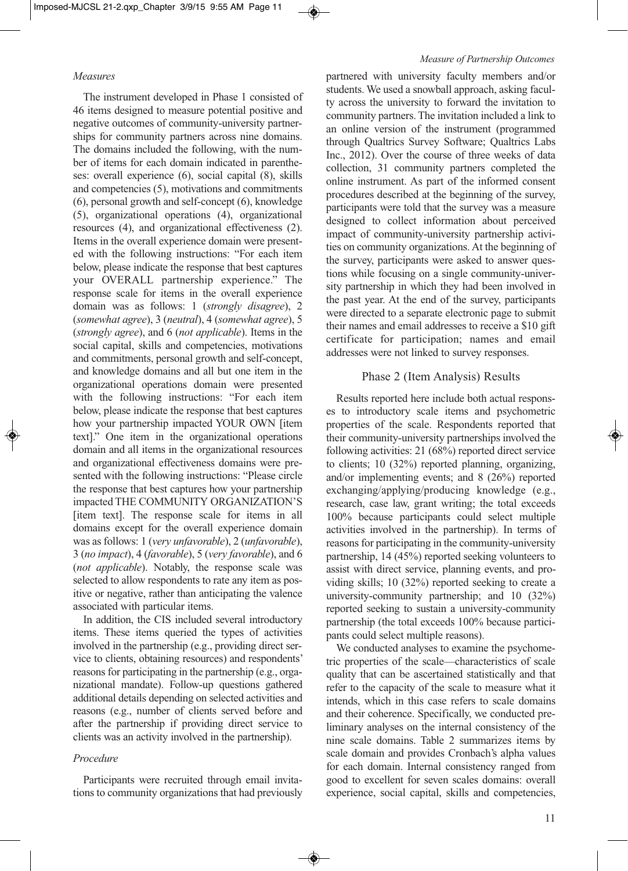#### *Measures*

The instrument developed in Phase 1 consisted of 46 items designed to measure potential positive and negative outcomes of community-university partnerships for community partners across nine domains. The domains included the following, with the number of items for each domain indicated in parentheses: overall experience (6), social capital (8), skills and competencies (5), motivations and commitments (6), personal growth and self-concept (6), knowledge (5), organizational operations (4), organizational resources (4), and organizational effectiveness (2). Items in the overall experience domain were presented with the following instructions: "For each item below, please indicate the response that best captures your OVERALL partnership experience." The response scale for items in the overall experience domain was as follows: 1 (*strongly disagree*), 2 (*somewhat agree*), 3 (*neutral*), 4 (*somewhat agree*), 5 (*strongly agree*), and 6 (*not applicable*). Items in the social capital, skills and competencies, motivations and commitments, personal growth and self-concept, and knowledge domains and all but one item in the organizational operations domain were presented with the following instructions: "For each item below, please indicate the response that best captures how your partnership impacted YOUR OWN [item text]." One item in the organizational operations domain and all items in the organizational resources and organizational effectiveness domains were presented with the following instructions: "Please circle the response that best captures how your partnership impacted THE COMMUNITY ORGANIZATION'S [item text]. The response scale for items in all domains except for the overall experience domain was as follows: 1 (*very unfavorable*), 2 (*unfavorable*), 3 (*no impact*), 4 (*favorable*), 5 (*very favorable*), and 6 (*not applicable*). Notably, the response scale was selected to allow respondents to rate any item as positive or negative, rather than anticipating the valence associated with particular items.

In addition, the CIS included several introductory items. These items queried the types of activities involved in the partnership (e.g., providing direct service to clients, obtaining resources) and respondents' reasons for participating in the partnership (e.g., organizational mandate). Follow-up questions gathered additional details depending on selected activities and reasons (e.g., number of clients served before and after the partnership if providing direct service to clients was an activity involved in the partnership).

### *Procedure*

Participants were recruited through email invitations to community organizations that had previously

#### *Measure of Partnership Outcomes*

partnered with university faculty members and/or students. We used a snowball approach, asking faculty across the university to forward the invitation to community partners. The invitation included a link to an online version of the instrument (programmed through Qualtrics Survey Software; Qualtrics Labs Inc., 2012). Over the course of three weeks of data collection, 31 community partners completed the online instrument. As part of the informed consent procedures described at the beginning of the survey, participants were told that the survey was a measure designed to collect information about perceived impact of community-university partnership activities on community organizations. At the beginning of the survey, participants were asked to answer questions while focusing on a single community-university partnership in which they had been involved in the past year. At the end of the survey, participants were directed to a separate electronic page to submit their names and email addresses to receive a \$10 gift certificate for participation; names and email addresses were not linked to survey responses.

### Phase 2 (Item Analysis) Results

Results reported here include both actual responses to introductory scale items and psychometric properties of the scale. Respondents reported that their community-university partnerships involved the following activities: 21 (68%) reported direct service to clients; 10 (32%) reported planning, organizing, and/or implementing events; and 8 (26%) reported exchanging/applying/producing knowledge (e.g., research, case law, grant writing; the total exceeds 100% because participants could select multiple activities involved in the partnership). In terms of reasons for participating in the community-university partnership, 14 (45%) reported seeking volunteers to assist with direct service, planning events, and providing skills; 10 (32%) reported seeking to create a university-community partnership; and 10 (32%) reported seeking to sustain a university-community partnership (the total exceeds 100% because participants could select multiple reasons).

We conducted analyses to examine the psychometric properties of the scale—characteristics of scale quality that can be ascertained statistically and that refer to the capacity of the scale to measure what it intends, which in this case refers to scale domains and their coherence. Specifically, we conducted preliminary analyses on the internal consistency of the nine scale domains. Table 2 summarizes items by scale domain and provides Cronbach's alpha values for each domain. Internal consistency ranged from good to excellent for seven scales domains: overall experience, social capital, skills and competencies,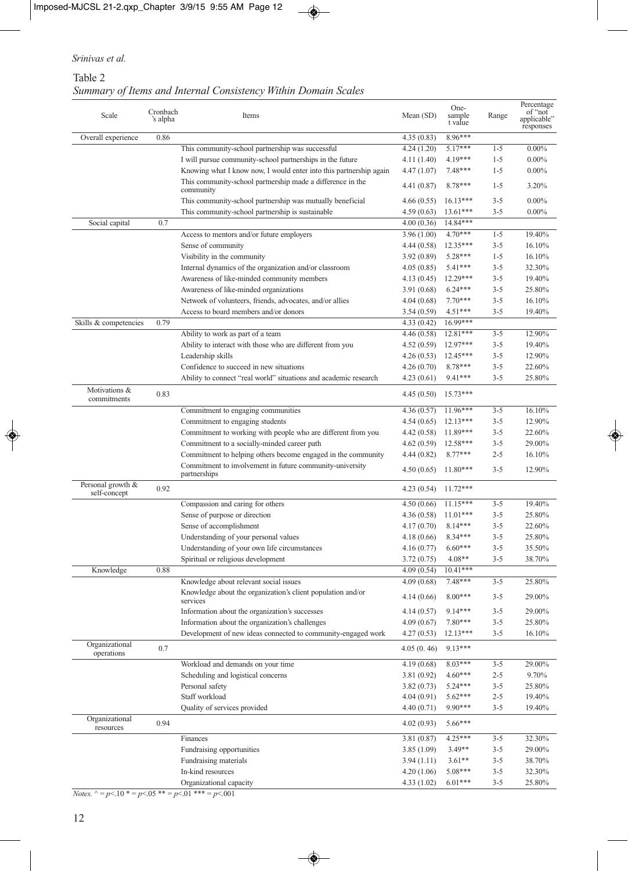# Table 2 *Summary of Items and Internal Consistency Within Domain Scales*

| Scale                             | Cronbach<br>'s alpha | Items                                                                    | Mean (SD)   | One-<br>sample<br>t value | Range   | Percentage<br>of "not<br>applicable"<br>responses |
|-----------------------------------|----------------------|--------------------------------------------------------------------------|-------------|---------------------------|---------|---------------------------------------------------|
| Overall experience                | 0.86                 |                                                                          | 4.35(0.83)  | 8.96***                   |         |                                                   |
|                                   |                      | This community-school partnership was successful                         | 4.24(1.20)  | 5.17***                   | $1 - 5$ | $0.00\%$                                          |
|                                   |                      | I will pursue community-school partnerships in the future                | 4.11(1.40)  | 4.19***                   | $1 - 5$ | $0.00\%$                                          |
|                                   |                      | Knowing what I know now, I would enter into this partnership again       | 4.47(1.07)  | $7.48***$                 | $1 - 5$ | $0.00\%$                                          |
|                                   |                      | This community-school partnership made a difference in the<br>community  | 4.41 (0.87) | $8.78***$                 | $1 - 5$ | 3.20%                                             |
|                                   |                      | This community-school partnership was mutually beneficial                | 4.66(0.55)  | $16.13***$                | $3 - 5$ | $0.00\%$                                          |
|                                   |                      | This community-school partnership is sustainable                         | 4.59(0.63)  | $13.61***$                | $3 - 5$ | $0.00\%$                                          |
| Social capital                    | 0.7                  |                                                                          | 4.00(0.36)  | 14.84***                  |         |                                                   |
|                                   |                      | Access to mentors and/or future employers                                | 3.96(1.00)  | $4.70***$                 | $1 - 5$ | 19.40%                                            |
|                                   |                      | Sense of community                                                       | 4.44(0.58)  | $12.35***$                | $3 - 5$ | 16.10%                                            |
|                                   |                      | Visibility in the community                                              | 3.92(0.89)  | 5.28***                   | $1 - 5$ | 16.10%                                            |
|                                   |                      | Internal dynamics of the organization and/or classroom                   | 4.05(0.85)  | 5.41***                   | $3 - 5$ | 32.30%                                            |
|                                   |                      | Awareness of like-minded community members                               | 4.13 (0.45) | 12.29***                  | $3 - 5$ | 19.40%                                            |
|                                   |                      | Awareness of like-minded organizations                                   | 3.91(0.68)  | $6.24***$                 | $3 - 5$ | 25.80%                                            |
|                                   |                      | Network of volunteers, friends, advocates, and/or allies                 | 4.04(0.68)  | $7.70***$                 | $3 - 5$ | 16.10%                                            |
|                                   |                      | Access to board members and/or donors                                    | 3.54(0.59)  | $4.51***$                 | $3 - 5$ | 19.40%                                            |
| Skills & competencies             | 0.79                 |                                                                          | 4.33(0.42)  | $16.99***$                |         |                                                   |
|                                   |                      | Ability to work as part of a team                                        | 4.46 (0.58) | 12.81***                  | $3 - 5$ | 12.90%                                            |
|                                   |                      | Ability to interact with those who are different from you                | 4.52(0.59)  | $12.97***$                | $3 - 5$ | 19.40%                                            |
|                                   |                      | Leadership skills                                                        | 4.26(0.53)  | $12.45***$                | $3 - 5$ | 12.90%                                            |
|                                   |                      | Confidence to succeed in new situations                                  | 4.26(0.70)  | 8.78***                   | $3 - 5$ | 22.60%                                            |
|                                   |                      | Ability to connect "real world" situations and academic research         | 4.23(0.61)  | $9.41***$                 | $3 - 5$ | 25.80%                                            |
| Motivations &<br>commitments      | 0.83                 |                                                                          | 4.45(0.50)  | $15.73***$                |         |                                                   |
|                                   |                      | Commitment to engaging communities                                       | 4.36(0.57)  | $11.96***$                | $3 - 5$ | 16.10%                                            |
|                                   |                      | Commitment to engaging students                                          | 4.54(0.65)  | $12.13***$                | $3 - 5$ | 12.90%                                            |
|                                   |                      | Commitment to working with people who are different from you             | 4.42 (0.58) | $11.89***$                | $3 - 5$ | 22.60%                                            |
|                                   |                      | Commitment to a socially-minded career path                              | 4.62(0.59)  | $12.58***$                | $3 - 5$ | 29.00%                                            |
|                                   |                      | Commitment to helping others become engaged in the community             | 4.44(0.82)  | $8.77***$                 | $2 - 5$ | 16.10%                                            |
|                                   |                      | Commitment to involvement in future community-university<br>partnerships | 4.50(0.65)  | $11.80***$                | $3 - 5$ | 12.90%                                            |
| Personal growth &<br>self-concept | 0.92                 |                                                                          | 4.23(0.54)  | $11.72***$                |         |                                                   |
|                                   |                      | Compassion and caring for others                                         | 4.50(0.66)  | $11.15***$                | $3 - 5$ | 19.40%                                            |
|                                   |                      | Sense of purpose or direction                                            | 4.36(0.58)  | $11.01***$                | $3 - 5$ | 25.80%                                            |
|                                   |                      | Sense of accomplishment                                                  | 4.17(0.70)  | $8.14***$                 | $3 - 5$ | 22.60%                                            |
|                                   |                      | Understanding of your personal values                                    | 4.18(0.66)  | 8.34***                   | $3 - 5$ | 25.80%                                            |
|                                   |                      | Understanding of your own life circumstances                             | 4.16(0.77)  | $6.60***$                 | $3 - 5$ | 35.50%                                            |
|                                   |                      | Spiritual or religious development                                       | 3.72(0.75)  | $4.08**$                  | $3 - 5$ | 38.70%                                            |
| Knowledge                         | 0.88                 |                                                                          | 4.09(0.54)  | $10.41***$                |         |                                                   |
|                                   |                      | Knowledge about relevant social issues                                   | 4.09(0.68)  | 7.48***                   | $3 - 5$ | 25.80%                                            |
|                                   |                      | Knowledge about the organization's client population and/or<br>services  | 4.14(0.66)  | $8.00***$                 | $3 - 5$ | 29.00%                                            |
|                                   |                      | Information about the organization's successes                           | 4.14(0.57)  | $9.14***$                 | $3 - 5$ | 29.00%                                            |
|                                   |                      | Information about the organization's challenges                          | 4.09(0.67)  | 7.80***                   | $3 - 5$ | 25.80%                                            |
|                                   |                      | Development of new ideas connected to community-engaged work             | 4.27(0.53)  | 12.13***                  | $3 - 5$ | 16.10%                                            |
| Organizational<br>operations      | 0.7                  |                                                                          | 4.05(0.46)  | 9.13***                   |         |                                                   |
|                                   |                      | Workload and demands on your time                                        | 4.19(0.68)  | $8.03***$                 | $3 - 5$ | 29.00%                                            |
|                                   |                      | Scheduling and logistical concerns                                       | 3.81(0.92)  | $4.60***$                 | $2 - 5$ | 9.70%                                             |
|                                   |                      | Personal safety                                                          | 3.82(0.73)  | 5.24***                   | $3 - 5$ | 25.80%                                            |
|                                   |                      | Staff workload                                                           | 4.04(0.91)  | $5.62***$                 | $2 - 5$ | 19.40%                                            |
|                                   |                      | Quality of services provided                                             | 4.40(0.71)  | 9.90***                   | $3 - 5$ | 19.40%                                            |
| Organizational<br>resources       | 0.94                 |                                                                          | 4.02(0.93)  | 5.66***                   |         |                                                   |
|                                   |                      | Finances                                                                 | 3.81(0.87)  | $4.25***$                 | $3 - 5$ | 32.30%                                            |
|                                   |                      | Fundraising opportunities                                                | 3.85(1.09)  | $3.49**$                  | $3 - 5$ | 29.00%                                            |
|                                   |                      | Fundraising materials                                                    | 3.94(1.11)  | $3.61**$                  | $3 - 5$ | 38.70%                                            |
|                                   |                      | In-kind resources                                                        | 4.20(1.06)  | 5.08***                   | $3 - 5$ | 32.30%                                            |
|                                   |                      | Organizational capacity                                                  | 4.33(1.02)  | $6.01***$                 | $3 - 5$ | 25.80%                                            |

*Notes.* ^ = *p*<.10 \* = *p*<.05 \*\* = *p*<.01 \*\*\* = *p*<.001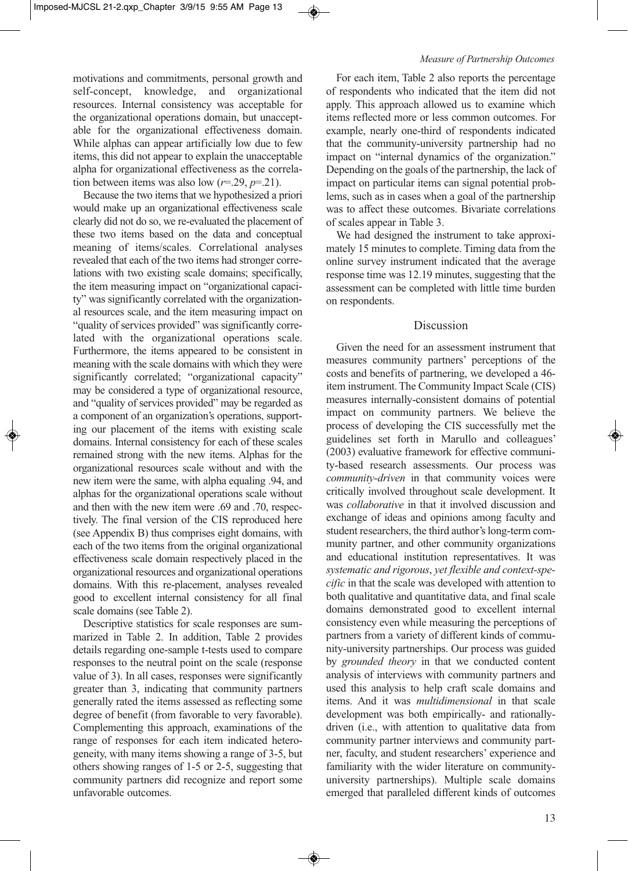motivations and commitments, personal growth and self-concept, knowledge, and organizational resources. Internal consistency was acceptable for the organizational operations domain, but unacceptable for the organizational effectiveness domain. While alphas can appear artificially low due to few items, this did not appear to explain the unacceptable alpha for organizational effectiveness as the correlation between items was also low  $(r=29, p=.21)$ .

Because the two items that we hypothesized a priori would make up an organizational effectiveness scale clearly did not do so, we re-evaluated the placement of these two items based on the data and conceptual meaning of items/scales. Correlational analyses revealed that each of the two items had stronger correlations with two existing scale domains; specifically, the item measuring impact on "organizational capacity" was significantly correlated with the organizational resources scale, and the item measuring impact on "quality of services provided" was significantly correlated with the organizational operations scale. Furthermore, the items appeared to be consistent in meaning with the scale domains with which they were significantly correlated; "organizational capacity" may be considered a type of organizational resource, and "quality of services provided" may be regarded as a component of an organization's operations, supporting our placement of the items with existing scale domains. Internal consistency for each of these scales remained strong with the new items. Alphas for the organizational resources scale without and with the new item were the same, with alpha equaling .94, and alphas for the organizational operations scale without and then with the new item were .69 and .70, respectively. The final version of the CIS reproduced here (see Appendix B) thus comprises eight domains, with each of the two items from the original organizational effectiveness scale domain respectively placed in the organizational resources and organizational operations domains. With this re-placement, analyses revealed good to excellent internal consistency for all final scale domains (see Table 2).

Descriptive statistics for scale responses are summarized in Table 2. In addition, Table 2 provides details regarding one-sample t-tests used to compare responses to the neutral point on the scale (response value of 3). In all cases, responses were significantly greater than 3, indicating that community partners generally rated the items assessed as reflecting some degree of benefit (from favorable to very favorable). Complementing this approach, examinations of the range of responses for each item indicated heterogeneity, with many items showing a range of 3-5, but others showing ranges of 1-5 or 2-5, suggesting that community partners did recognize and report some unfavorable outcomes.

For each item, Table 2 also reports the percentage of respondents who indicated that the item did not apply. This approach allowed us to examine which items reflected more or less common outcomes. For example, nearly one-third of respondents indicated that the community-university partnership had no impact on "internal dynamics of the organization." Depending on the goals of the partnership, the lack of impact on particular items can signal potential problems, such as in cases when a goal of the partnership was to affect these outcomes. Bivariate correlations of scales appear in Table 3.

We had designed the instrument to take approximately 15 minutes to complete. Timing data from the online survey instrument indicated that the average response time was 12.19 minutes, suggesting that the assessment can be completed with little time burden on respondents.

### Discussion

Given the need for an assessment instrument that measures community partners' perceptions of the costs and benefits of partnering, we developed a 46 item instrument. The Community Impact Scale (CIS) measures internally-consistent domains of potential impact on community partners. We believe the process of developing the CIS successfully met the guidelines set forth in Marullo and colleagues' (2003) evaluative framework for effective community-based research assessments. Our process was *community-driven* in that community voices were critically involved throughout scale development. It was *collaborative* in that it involved discussion and exchange of ideas and opinions among faculty and student researchers, the third author's long-term community partner, and other community organizations and educational institution representatives. It was *systematic and rigorous*, *yet flexible and context-specific* in that the scale was developed with attention to both qualitative and quantitative data, and final scale domains demonstrated good to excellent internal consistency even while measuring the perceptions of partners from a variety of different kinds of community-university partnerships. Our process was guided by *grounded theory* in that we conducted content analysis of interviews with community partners and used this analysis to help craft scale domains and items. And it was *multidimensional* in that scale development was both empirically- and rationallydriven (i.e., with attention to qualitative data from community partner interviews and community partner, faculty, and student researchers' experience and familiarity with the wider literature on communityuniversity partnerships). Multiple scale domains emerged that paralleled different kinds of outcomes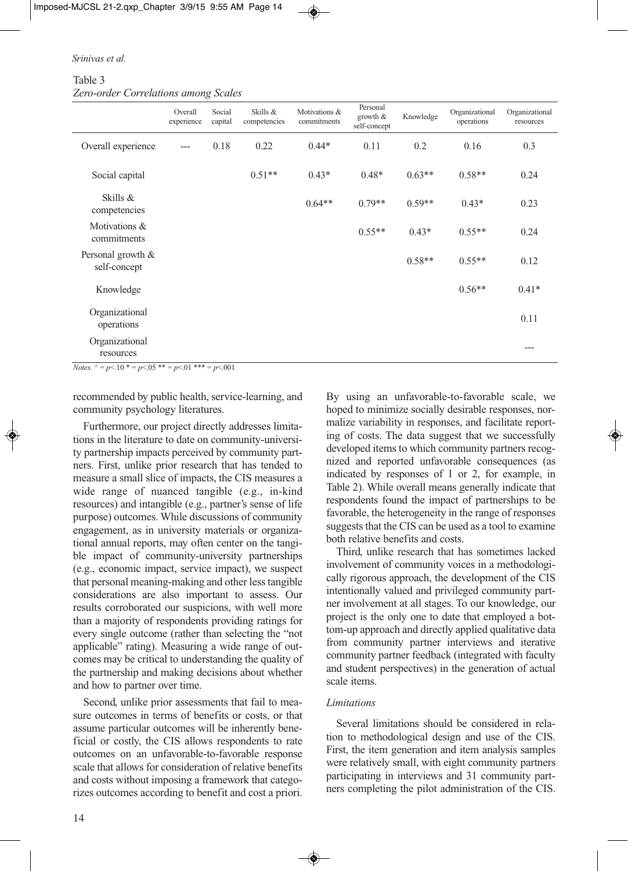|  | Srinivas et al. |  |  |
|--|-----------------|--|--|
|  |                 |  |  |

Table 3 *Zero-order Correlations among Scales*

|                                   | Overall<br>experience | Social<br>capital | Skills &<br>competencies | Motivations &<br>commitments | Personal<br>growth $&$<br>self-concept | Knowledge | Organizational<br>operations | Organizational<br>resources |
|-----------------------------------|-----------------------|-------------------|--------------------------|------------------------------|----------------------------------------|-----------|------------------------------|-----------------------------|
| Overall experience                | $---$                 | 0.18              | 0.22                     | $0.44*$                      | 0.11                                   | 0.2       | 0.16                         | 0.3                         |
| Social capital                    |                       |                   | $0.51**$                 | $0.43*$                      | $0.48*$                                | $0.63**$  | $0.58**$                     | 0.24                        |
| Skills &<br>competencies          |                       |                   |                          | $0.64**$                     | $0.79**$                               | $0.59**$  | $0.43*$                      | 0.23                        |
| Motivations &<br>commitments      |                       |                   |                          |                              | $0.55**$                               | $0.43*$   | $0.55**$                     | 0.24                        |
| Personal growth &<br>self-concept |                       |                   |                          |                              |                                        | $0.58**$  | $0.55**$                     | 0.12                        |
| Knowledge                         |                       |                   |                          |                              |                                        |           | $0.56**$                     | $0.41*$                     |
| Organizational<br>operations      |                       |                   |                          |                              |                                        |           |                              | 0.11                        |
| Organizational<br>resources       |                       |                   |                          |                              |                                        |           |                              | $---$                       |

*Notes.*  $\land = p \le 10 * = p \le 05 * = p \le 01 * = p \le 001$ 

recommended by public health, service-learning, and community psychology literatures.

Furthermore, our project directly addresses limitations in the literature to date on community-university partnership impacts perceived by community partners. First, unlike prior research that has tended to measure a small slice of impacts, the CIS measures a wide range of nuanced tangible (e.g., in-kind resources) and intangible (e.g., partner's sense of life purpose) outcomes. While discussions of community engagement, as in university materials or organizational annual reports, may often center on the tangible impact of community-university partnerships (e.g., economic impact, service impact), we suspect that personal meaning-making and other less tangible considerations are also important to assess. Our results corroborated our suspicions, with well more than a majority of respondents providing ratings for every single outcome (rather than selecting the "not applicable" rating). Measuring a wide range of outcomes may be critical to understanding the quality of the partnership and making decisions about whether and how to partner over time.

Second, unlike prior assessments that fail to measure outcomes in terms of benefits or costs, or that assume particular outcomes will be inherently beneficial or costly, the CIS allows respondents to rate outcomes on an unfavorable-to-favorable response scale that allows for consideration of relative benefits and costs without imposing a framework that categorizes outcomes according to benefit and cost a priori.

By using an unfavorable-to-favorable scale, we hoped to minimize socially desirable responses, normalize variability in responses, and facilitate reporting of costs. The data suggest that we successfully developed items to which community partners recognized and reported unfavorable consequences (as indicated by responses of 1 or 2, for example, in Table 2). While overall means generally indicate that respondents found the impact of partnerships to be favorable, the heterogeneity in the range of responses suggests that the CIS can be used as a tool to examine both relative benefits and costs.

Third, unlike research that has sometimes lacked involvement of community voices in a methodologically rigorous approach, the development of the CIS intentionally valued and privileged community partner involvement at all stages. To our knowledge, our project is the only one to date that employed a bottom-up approach and directly applied qualitative data from community partner interviews and iterative community partner feedback (integrated with faculty and student perspectives) in the generation of actual scale items.

### *Limitations*

Several limitations should be considered in relation to methodological design and use of the CIS. First, the item generation and item analysis samples were relatively small, with eight community partners participating in interviews and 31 community partners completing the pilot administration of the CIS.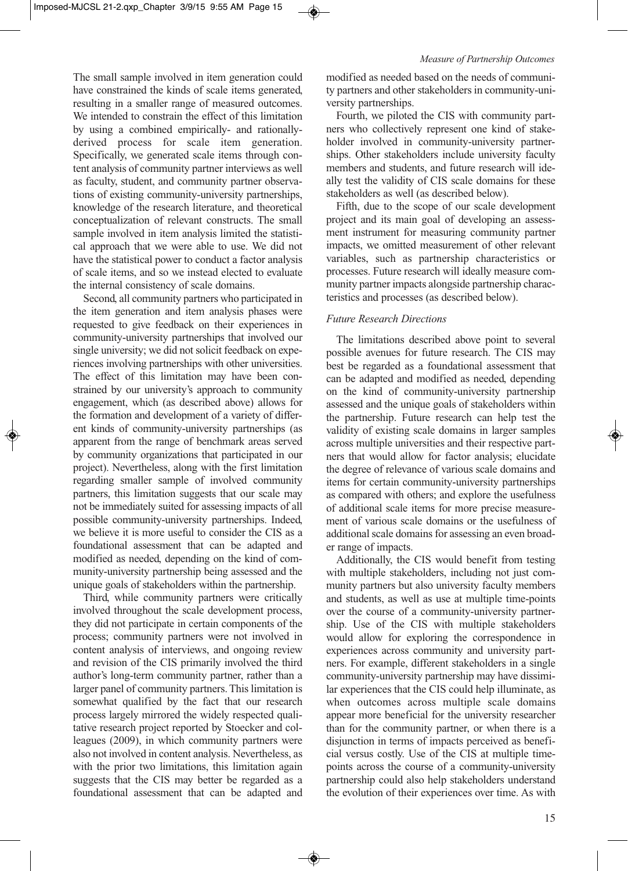The small sample involved in item generation could have constrained the kinds of scale items generated, resulting in a smaller range of measured outcomes. We intended to constrain the effect of this limitation by using a combined empirically- and rationallyderived process for scale item generation. Specifically, we generated scale items through content analysis of community partner interviews as well as faculty, student, and community partner observations of existing community-university partnerships, knowledge of the research literature, and theoretical conceptualization of relevant constructs. The small sample involved in item analysis limited the statistical approach that we were able to use. We did not have the statistical power to conduct a factor analysis of scale items, and so we instead elected to evaluate the internal consistency of scale domains.

Second, all community partners who participated in the item generation and item analysis phases were requested to give feedback on their experiences in community-university partnerships that involved our single university; we did not solicit feedback on experiences involving partnerships with other universities. The effect of this limitation may have been constrained by our university's approach to community engagement, which (as described above) allows for the formation and development of a variety of different kinds of community-university partnerships (as apparent from the range of benchmark areas served by community organizations that participated in our project). Nevertheless, along with the first limitation regarding smaller sample of involved community partners, this limitation suggests that our scale may not be immediately suited for assessing impacts of all possible community-university partnerships. Indeed, we believe it is more useful to consider the CIS as a foundational assessment that can be adapted and modified as needed, depending on the kind of community-university partnership being assessed and the unique goals of stakeholders within the partnership.

Third, while community partners were critically involved throughout the scale development process, they did not participate in certain components of the process; community partners were not involved in content analysis of interviews, and ongoing review and revision of the CIS primarily involved the third author's long-term community partner, rather than a larger panel of community partners. This limitation is somewhat qualified by the fact that our research process largely mirrored the widely respected qualitative research project reported by Stoecker and colleagues (2009), in which community partners were also not involved in content analysis. Nevertheless, as with the prior two limitations, this limitation again suggests that the CIS may better be regarded as a foundational assessment that can be adapted and modified as needed based on the needs of community partners and other stakeholders in community-university partnerships.

Fourth, we piloted the CIS with community partners who collectively represent one kind of stakeholder involved in community-university partnerships. Other stakeholders include university faculty members and students, and future research will ideally test the validity of CIS scale domains for these stakeholders as well (as described below).

Fifth, due to the scope of our scale development project and its main goal of developing an assessment instrument for measuring community partner impacts, we omitted measurement of other relevant variables, such as partnership characteristics or processes. Future research will ideally measure community partner impacts alongside partnership characteristics and processes (as described below).

### *Future Research Directions*

The limitations described above point to several possible avenues for future research. The CIS may best be regarded as a foundational assessment that can be adapted and modified as needed, depending on the kind of community-university partnership assessed and the unique goals of stakeholders within the partnership. Future research can help test the validity of existing scale domains in larger samples across multiple universities and their respective partners that would allow for factor analysis; elucidate the degree of relevance of various scale domains and items for certain community-university partnerships as compared with others; and explore the usefulness of additional scale items for more precise measurement of various scale domains or the usefulness of additional scale domains for assessing an even broader range of impacts.

Additionally, the CIS would benefit from testing with multiple stakeholders, including not just community partners but also university faculty members and students, as well as use at multiple time-points over the course of a community-university partnership. Use of the CIS with multiple stakeholders would allow for exploring the correspondence in experiences across community and university partners. For example, different stakeholders in a single community-university partnership may have dissimilar experiences that the CIS could help illuminate, as when outcomes across multiple scale domains appear more beneficial for the university researcher than for the community partner, or when there is a disjunction in terms of impacts perceived as beneficial versus costly. Use of the CIS at multiple timepoints across the course of a community-university partnership could also help stakeholders understand the evolution of their experiences over time. As with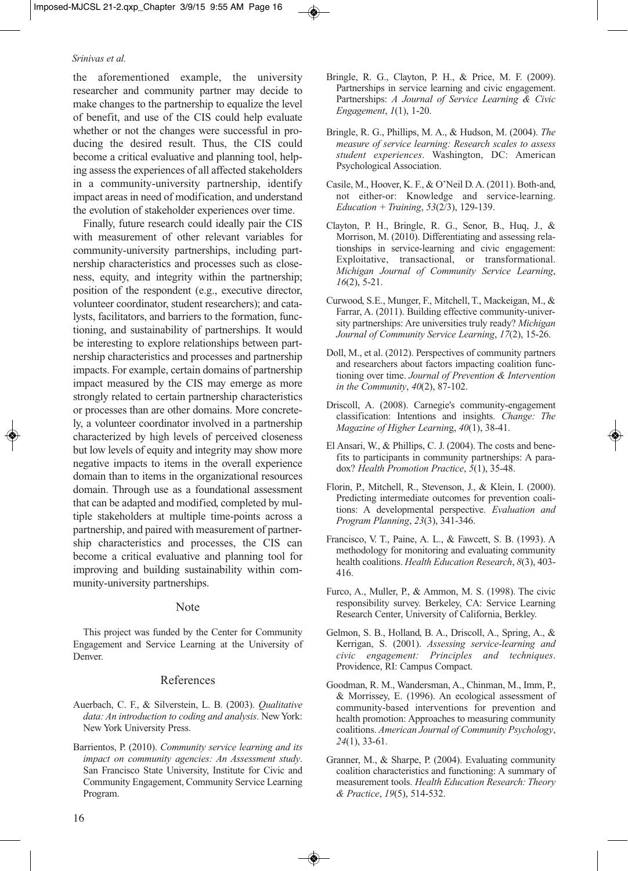the aforementioned example, the university researcher and community partner may decide to make changes to the partnership to equalize the level of benefit, and use of the CIS could help evaluate whether or not the changes were successful in producing the desired result. Thus, the CIS could become a critical evaluative and planning tool, helping assess the experiences of all affected stakeholders in a community-university partnership, identify impact areas in need of modification, and understand the evolution of stakeholder experiences over time.

Finally, future research could ideally pair the CIS with measurement of other relevant variables for community-university partnerships, including partnership characteristics and processes such as closeness, equity, and integrity within the partnership; position of the respondent (e.g., executive director, volunteer coordinator, student researchers); and catalysts, facilitators, and barriers to the formation, functioning, and sustainability of partnerships. It would be interesting to explore relationships between partnership characteristics and processes and partnership impacts. For example, certain domains of partnership impact measured by the CIS may emerge as more strongly related to certain partnership characteristics or processes than are other domains. More concretely, a volunteer coordinator involved in a partnership characterized by high levels of perceived closeness but low levels of equity and integrity may show more negative impacts to items in the overall experience domain than to items in the organizational resources domain. Through use as a foundational assessment that can be adapted and modified, completed by multiple stakeholders at multiple time-points across a partnership, and paired with measurement of partnership characteristics and processes, the CIS can become a critical evaluative and planning tool for improving and building sustainability within community-university partnerships.

#### Note

This project was funded by the Center for Community Engagement and Service Learning at the University of Denver.

### References

- Auerbach, C. F., & Silverstein, L. B. (2003). *Qualitative data: An introduction to coding and analysis*. New York: New York University Press.
- Barrientos, P. (2010). *Community service learning and its impact on community agencies: An Assessment study*. San Francisco State University, Institute for Civic and Community Engagement, Community Service Learning Program.
- Bringle, R. G., Clayton, P. H., & Price, M. F. (2009). Partnerships in service learning and civic engagement. Partnerships: *A Journal of Service Learning & Civic Engagement*, *1*(1), 1-20.
- Bringle, R. G., Phillips, M. A., & Hudson, M. (2004). *The measure of service learning: Research scales to assess student experiences*. Washington, DC: American Psychological Association.
- Casile, M., Hoover, K. F., & O'Neil D. A. (2011). Both-and, not either-or: Knowledge and service-learning. *Education + Training*, *53*(2/3), 129-139.
- Clayton, P. H., Bringle, R. G., Senor, B., Huq, J., & Morrison, M. (2010). Differentiating and assessing relationships in service-learning and civic engagement: Exploitative, transactional, or transformational. *Michigan Journal of Community Service Learning*, *16*(2), 5-21.
- Curwood, S.E., Munger, F., Mitchell, T., Mackeigan, M., & Farrar, A. (2011). Building effective community-university partnerships: Are universities truly ready? *Michigan Journal of Community Service Learning*, *17*(2), 15-26.
- Doll, M., et al. (2012). Perspectives of community partners and researchers about factors impacting coalition functioning over time. *Journal of Prevention & Intervention in the Community*, *40*(2), 87-102.
- Driscoll, A. (2008). Carnegie's community-engagement classification: Intentions and insights. *Change: The Magazine of Higher Learnin*g, *40*(1), 38-41.
- El Ansari, W., & Phillips, C. J. (2004). The costs and benefits to participants in community partnerships: A paradox? *Health Promotion Practice*, *5*(1), 35-48.
- Florin, P., Mitchell, R., Stevenson, J., & Klein, I. (2000). Predicting intermediate outcomes for prevention coalitions: A developmental perspective. *Evaluation and Program Planning*, *23*(3), 341-346.
- Francisco, V. T., Paine, A. L., & Fawcett, S. B. (1993). A methodology for monitoring and evaluating community health coalitions. *Health Education Research*, *8*(3), 403- 416.
- Furco, A., Muller, P., & Ammon, M. S. (1998). The civic responsibility survey. Berkeley, CA: Service Learning Research Center, University of California, Berkley.
- Gelmon, S. B., Holland, B. A., Driscoll, A., Spring, A., & Kerrigan, S. (2001). *Assessing service-learning and civic engagement: Principles and techniques*. Providence, RI: Campus Compact.
- Goodman, R. M., Wandersman, A., Chinman, M., Imm, P., & Morrissey, E. (1996). An ecological assessment of community-based interventions for prevention and health promotion: Approaches to measuring community coalitions. *American Journal of Community Psychology*, *24*(1), 33-61.
- Granner, M., & Sharpe, P. (2004). Evaluating community coalition characteristics and functioning: A summary of measurement tools. *Health Education Research: Theory & Practice*, *19*(5), 514-532.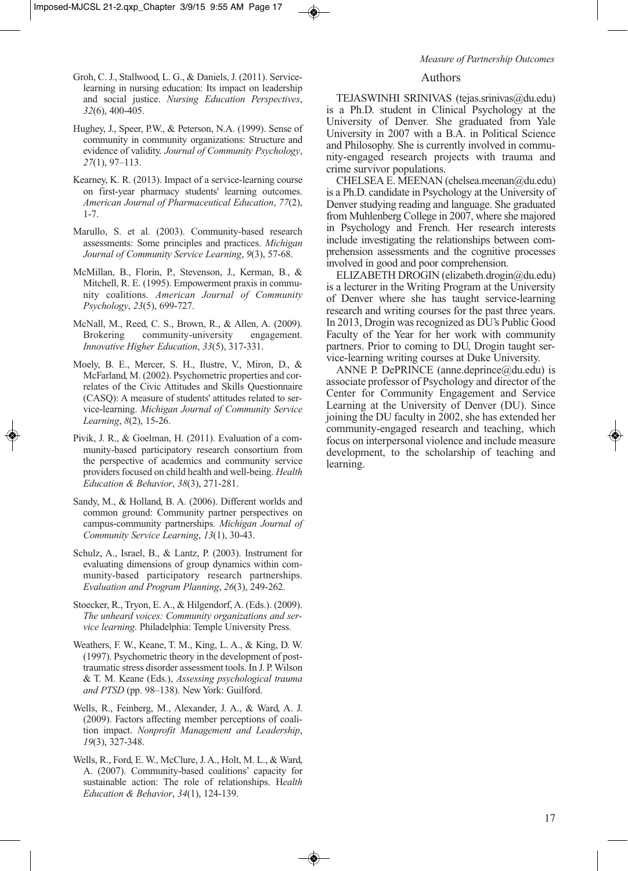- Groh, C. J., Stallwood, L. G., & Daniels, J. (2011). Servicelearning in nursing education: Its impact on leadership and social justice. *Nursing Education Perspectives*, *32*(6), 400-405.
- Hughey, J., Speer, P.W., & Peterson, N.A. (1999). Sense of community in community organizations: Structure and evidence of validity. *Journal of Community Psychology*, *27*(1), 97–113.
- Kearney, K. R. (2013). Impact of a service-learning course on first-year pharmacy students' learning outcomes. *American Journal of Pharmaceutical Education*, *77*(2), 1-7.
- Marullo, S. et al. (2003). Community-based research assessments: Some principles and practices. *Michigan Journal of Community Service Learning*, *9*(3), 57-68.
- McMillan, B., Florin, P., Stevenson, J., Kerman, B., & Mitchell, R. E. (1995). Empowerment praxis in community coalitions. *American Journal of Community Psychology*, *23*(5), 699-727.
- McNall, M., Reed, C. S., Brown, R., & Allen, A. (2009). Brokering community-university engagement. *Innovative Higher Education*, *33*(5), 317-331.
- Moely, B. E., Mercer, S. H., Ilustre, V., Miron, D., & McFarland, M. (2002). Psychometric properties and correlates of the Civic Attitudes and Skills Questionnaire (CASQ): A measure of students' attitudes related to service-learning. *Michigan Journal of Community Service Learning*, *8*(2), 15-26.
- Pivik, J. R., & Goelman, H. (2011). Evaluation of a community-based participatory research consortium from the perspective of academics and community service providers focused on child health and well-being. *Health Education & Behavior*, *38*(3), 271-281.
- Sandy, M., & Holland, B. A. (2006). Different worlds and common ground: Community partner perspectives on campus-community partnerships. *Michigan Journal of Community Service Learning*, *13*(1), 30-43.
- Schulz, A., Israel, B., & Lantz, P. (2003). Instrument for evaluating dimensions of group dynamics within community-based participatory research partnerships. *Evaluation and Program Planning*, *26*(3), 249-262.
- Stoecker, R., Tryon, E. A., & Hilgendorf, A. (Eds.). (2009). *The unheard voices: Community organizations and service learning*. Philadelphia: Temple University Press.
- Weathers, F. W., Keane, T. M., King, L. A., & King, D. W. (1997). Psychometric theory in the development of posttraumatic stress disorder assessment tools. In J. P. Wilson & T. M. Keane (Eds.), *Assessing psychological trauma and PTSD* (pp. 98–138). New York: Guilford.
- Wells, R., Feinberg, M., Alexander, J. A., & Ward, A. J. (2009). Factors affecting member perceptions of coalition impact. *Nonprofit Management and Leadership*, *19*(3), 327-348.
- Wells, R., Ford, E. W., McClure, J. A., Holt, M. L., & Ward, A. (2007). Community-based coalitions' capacity for sustainable action: The role of relationships. H*ealth Education & Behavior*, *34*(1), 124-139.

### Authors

TEJASWINHI SRINIVAS (tejas.srinivas@du.edu) is a Ph.D. student in Clinical Psychology at the University of Denver. She graduated from Yale University in 2007 with a B.A. in Political Science and Philosophy. She is currently involved in community-engaged research projects with trauma and crime survivor populations.

CHELSEA E. MEENAN (chelsea.meenan@du.edu) is a Ph.D. candidate in Psychology at the University of Denver studying reading and language. She graduated from Muhlenberg College in 2007, where she majored in Psychology and French. Her research interests include investigating the relationships between comprehension assessments and the cognitive processes involved in good and poor comprehension.

ELIZABETH DROGIN (elizabeth.drogin@du.edu) is a lecturer in the Writing Program at the University of Denver where she has taught service-learning research and writing courses for the past three years. In 2013, Drogin was recognized as DU's Public Good Faculty of the Year for her work with community partners. Prior to coming to DU, Drogin taught service-learning writing courses at Duke University.

ANNE P. DePRINCE (anne.deprince@du.edu) is associate professor of Psychology and director of the Center for Community Engagement and Service Learning at the University of Denver (DU). Since joining the DU faculty in 2002, she has extended her community-engaged research and teaching, which focus on interpersonal violence and include measure development, to the scholarship of teaching and learning.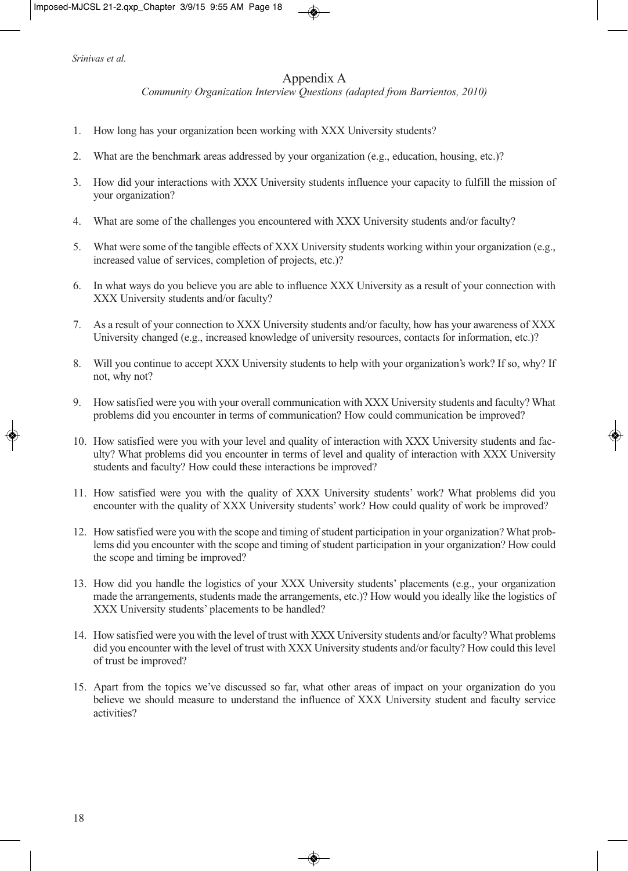# Appendix A

*Community Organization Interview Questions (adapted from Barrientos, 2010)*

- 1. How long has your organization been working with XXX University students?
- 2. What are the benchmark areas addressed by your organization (e.g., education, housing, etc.)?
- 3. How did your interactions with XXX University students influence your capacity to fulfill the mission of your organization?
- 4. What are some of the challenges you encountered with XXX University students and/or faculty?
- 5. What were some of the tangible effects of XXX University students working within your organization (e.g., increased value of services, completion of projects, etc.)?
- 6. In what ways do you believe you are able to influence XXX University as a result of your connection with XXX University students and/or faculty?
- 7. As a result of your connection to XXX University students and/or faculty, how has your awareness of XXX University changed (e.g., increased knowledge of university resources, contacts for information, etc.)?
- 8. Will you continue to accept XXX University students to help with your organization's work? If so, why? If not, why not?
- 9. How satisfied were you with your overall communication with XXX University students and faculty? What problems did you encounter in terms of communication? How could communication be improved?
- 10. How satisfied were you with your level and quality of interaction with XXX University students and faculty? What problems did you encounter in terms of level and quality of interaction with XXX University students and faculty? How could these interactions be improved?
- 11. How satisfied were you with the quality of XXX University students' work? What problems did you encounter with the quality of XXX University students' work? How could quality of work be improved?
- 12. How satisfied were you with the scope and timing of student participation in your organization? What problems did you encounter with the scope and timing of student participation in your organization? How could the scope and timing be improved?
- 13. How did you handle the logistics of your XXX University students' placements (e.g., your organization made the arrangements, students made the arrangements, etc.)? How would you ideally like the logistics of XXX University students' placements to be handled?
- 14. How satisfied were you with the level of trust with XXX University students and/or faculty? What problems did you encounter with the level of trust with XXX University students and/or faculty? How could this level of trust be improved?
- 15. Apart from the topics we've discussed so far, what other areas of impact on your organization do you believe we should measure to understand the influence of XXX University student and faculty service activities?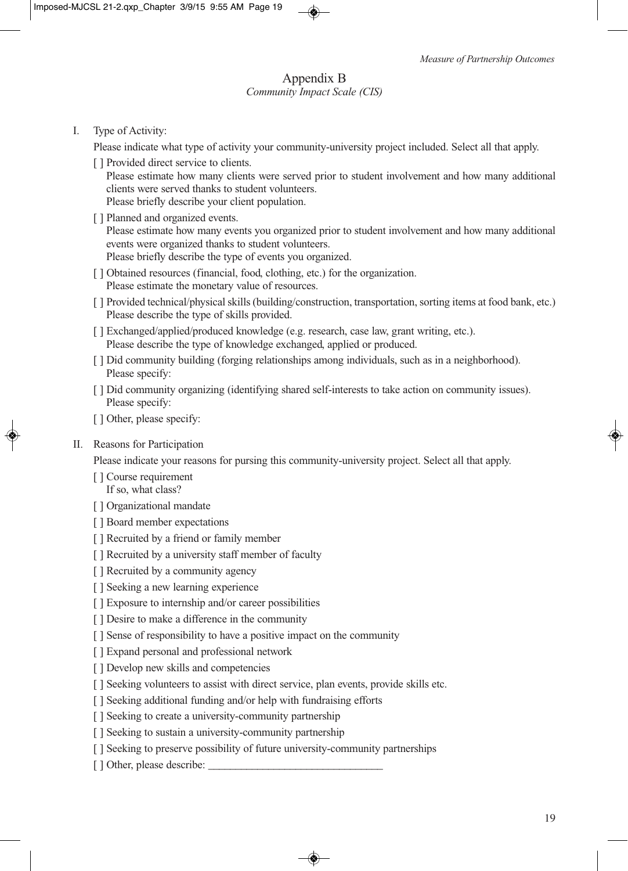# Appendix B *Community Impact Scale (CIS)*

# I. Type of Activity:

Please indicate what type of activity your community-university project included. Select all that apply.

[ ] Provided direct service to clients.

Please estimate how many clients were served prior to student involvement and how many additional clients were served thanks to student volunteers. Please briefly describe your client population.

[ ] Planned and organized events.

Please estimate how many events you organized prior to student involvement and how many additional events were organized thanks to student volunteers. Please briefly describe the type of events you organized.

- [ ] Obtained resources (financial, food, clothing, etc.) for the organization. Please estimate the monetary value of resources.
- [ ] Provided technical/physical skills (building/construction, transportation, sorting items at food bank, etc.) Please describe the type of skills provided.
- [ ] Exchanged/applied/produced knowledge (e.g. research, case law, grant writing, etc.). Please describe the type of knowledge exchanged, applied or produced.
- [ ] Did community building (forging relationships among individuals, such as in a neighborhood). Please specify:
- [ ] Did community organizing (identifying shared self-interests to take action on community issues). Please specify:
- [ ] Other, please specify:
- II. Reasons for Participation

Please indicate your reasons for pursing this community-university project. Select all that apply.

- [ ] Course requirement If so, what class?
- [ ] Organizational mandate
- [ ] Board member expectations
- [ ] Recruited by a friend or family member
- [ ] Recruited by a university staff member of faculty
- [ ] Recruited by a community agency
- [ ] Seeking a new learning experience
- [ ] Exposure to internship and/or career possibilities
- [ ] Desire to make a difference in the community
- [ ] Sense of responsibility to have a positive impact on the community
- [ ] Expand personal and professional network
- [ ] Develop new skills and competencies
- [ ] Seeking volunteers to assist with direct service, plan events, provide skills etc.
- [ ] Seeking additional funding and/or help with fundraising efforts
- [ ] Seeking to create a university-community partnership
- [ ] Seeking to sustain a university-community partnership
- [ ] Seeking to preserve possibility of future university-community partnerships
- [ ] Other, please describe: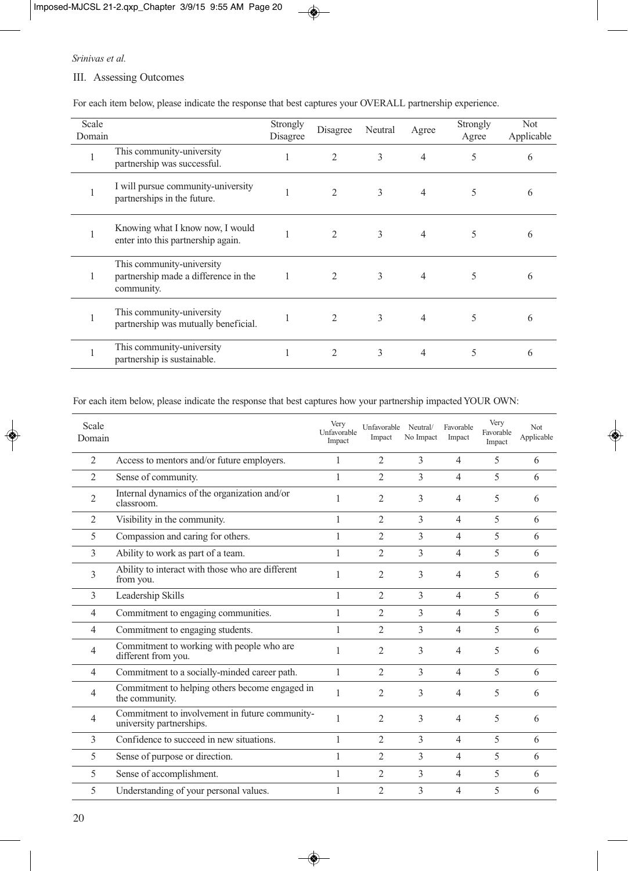### III. Assessing Outcomes

| Scale  |                                                                                 | Strongly     |                               | Neutral |       | Strongly | Not        |
|--------|---------------------------------------------------------------------------------|--------------|-------------------------------|---------|-------|----------|------------|
| Domain |                                                                                 | Disagree     | Disagree                      |         | Agree | Agree    | Applicable |
|        | This community-university<br>partnership was successful.                        |              | $\overline{2}$                | 3       | 4     | 5        | 6          |
|        | I will pursue community-university<br>partnerships in the future.               |              | 2                             | 3       | 4     | 5        | 6          |
|        | Knowing what I know now, I would<br>enter into this partnership again.          |              | $\overline{2}$                | 3       | 4     | 5        | 6          |
| -1     | This community-university<br>partnership made a difference in the<br>community. | $\mathbf{1}$ | $\mathfrak{D}_{\mathfrak{p}}$ | 3       | 4     | 5        | 6          |
|        | This community-university<br>partnership was mutually beneficial.               |              | $\mathfrak{D}_{1}$            | 3       | 4     | 5        | 6          |
|        | This community-university<br>partnership is sustainable.                        |              | $\mathfrak{D}_{\mathfrak{p}}$ | 3       | 4     | 5        | 6          |

For each item below, please indicate the response that best captures your OVERALL partnership experience.

For each item below, please indicate the response that best captures how your partnership impacted YOUR OWN:

| Scale<br>Domain |                                                                            | Very<br><b>Unfavorable</b><br>Impact | Unfavorable<br>Impact | Neutral/<br>No Impact | Favorable<br>Impact | Very<br>Favorable<br>Impact | Not<br>Applicable |
|-----------------|----------------------------------------------------------------------------|--------------------------------------|-----------------------|-----------------------|---------------------|-----------------------------|-------------------|
| 2               | Access to mentors and/or future employers.                                 |                                      | 2                     | 3                     | $\overline{4}$      | 5                           | 6                 |
| $\overline{2}$  | Sense of community.                                                        | 1                                    | $\overline{2}$        | 3                     | $\overline{4}$      | 5                           | 6                 |
| $\overline{2}$  | Internal dynamics of the organization and/or<br>classroom.                 |                                      | 2                     | 3                     | 4                   | 5                           | 6                 |
| $\overline{2}$  | Visibility in the community.                                               | 1                                    | $\mathfrak{D}$        | 3                     | $\overline{4}$      | 5                           | 6                 |
| 5               | Compassion and caring for others.                                          | 1                                    | 2                     | 3                     | $\overline{4}$      | 5                           | 6                 |
| 3               | Ability to work as part of a team.                                         | 1                                    | 2                     | 3                     | $\overline{4}$      | 5                           | 6                 |
| 3               | Ability to interact with those who are different<br>from you.              |                                      | $\overline{2}$        | 3                     | $\overline{4}$      | 5                           | 6                 |
| 3               | Leadership Skills                                                          | 1                                    | $\overline{2}$        | 3                     | $\overline{4}$      | $\overline{\phantom{0}}$    | 6                 |
| $\overline{4}$  | Commitment to engaging communities.                                        |                                      | 2                     | 3                     | $\overline{4}$      | 5                           | 6                 |
| $\overline{4}$  | Commitment to engaging students.                                           | 1                                    | 2                     | 3                     | $\overline{4}$      | 5                           | 6                 |
| 4               | Commitment to working with people who are<br>different from you.           | 1                                    | 2                     | 3                     | $\overline{4}$      | 5                           | 6                 |
| $\overline{4}$  | Commitment to a socially-minded career path.                               | 1                                    | 2                     | 3                     | $\overline{4}$      | 5                           | 6                 |
| 4               | Commitment to helping others become engaged in<br>the community.           | 1                                    | 2                     | $\mathcal{E}$         | $\overline{4}$      | 5                           | 6                 |
| $\overline{4}$  | Commitment to involvement in future community-<br>university partnerships. | 1                                    | $\overline{2}$        | $\mathcal{E}$         | $\overline{4}$      | 5                           | 6                 |
| 3               | Confidence to succeed in new situations.                                   | 1                                    | $\mathfrak{D}$        | 3                     | $\overline{4}$      | 5                           | 6                 |
| 5               | Sense of purpose or direction.                                             | 1                                    | 2                     | 3                     | $\overline{4}$      | 5                           | 6                 |
| 5               | Sense of accomplishment.                                                   | 1                                    | 2                     | 3                     | $\overline{4}$      | 5                           | 6                 |
| 5               | Understanding of your personal values.                                     | 1                                    | $\overline{2}$        | $\mathcal{E}$         | 4                   | 5                           | 6                 |